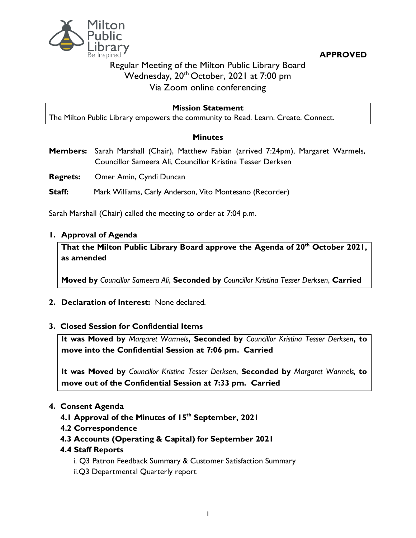

**APPROVED**

# Regular Meeting of the Milton Public Library Board Wednesday, 20<sup>th</sup> October, 2021 at 7:00 pm Via Zoom online conferencing

#### **Mission Statement**

The Milton Public Library empowers the community to Read. Learn. Create. Connect.

#### **Minutes**

**Members:** Sarah Marshall (Chair), Matthew Fabian (arrived 7:24pm), Margaret Warmels, Councillor Sameera Ali, Councillor Kristina Tesser Derksen

**Regrets:** Omer Amin, Cyndi Duncan

**Staff:** Mark Williams, Carly Anderson, Vito Montesano (Recorder)

Sarah Marshall (Chair) called the meeting to order at 7:04 p.m.

#### **1. Approval of Agenda**

**That the Milton Public Library Board approve the Agenda of 20th October 2021, as amended**

**Moved by** *Councillor Sameera Ali*, **Seconded by** *Councillor Kristina Tesser Derksen*, **Carried**

**2. Declaration of Interest:** None declared.

#### **3. Closed Session for Confidential Items**

**It was Moved by** *Margaret Warmels***, Seconded by** *Councillor Kristina Tesser Derksen***, to move into the Confidential Session at 7:06 pm. Carried**

**It was Moved by** *Councillor Kristina Tesser Derksen*, **Seconded by** *Margaret Warmels,* **to move out of the Confidential Session at 7:33 pm. Carried**

#### **4. Consent Agenda**

- **4.1 Approval of the Minutes of 15th September, 2021**
- **4.2 Correspondence**
- **4.3 Accounts (Operating & Capital) for September 2021**

#### **4.4 Staff Reports**

- i. Q3 Patron Feedback Summary & Customer Satisfaction Summary
- ii.Q3 Departmental Quarterly report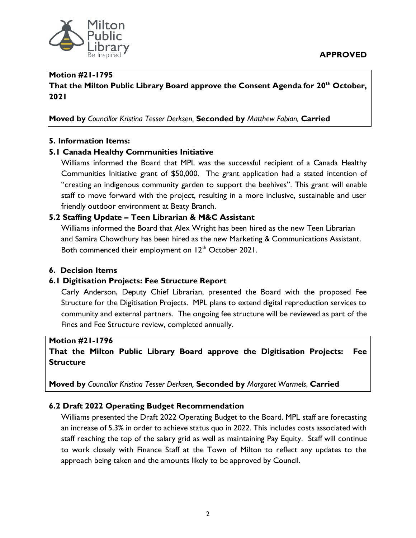

#### **Motion #21-1795**

**That the Milton Public Library Board approve the Consent Agenda for 20th October, 2021**

**Moved by** *Councillor Kristina Tesser Derksen,* **Seconded by** *Matthew Fabian,* **Carried**

### **5. Information Items:**

### **5.1 Canada Healthy Communities Initiative**

Williams informed the Board that MPL was the successful recipient of a Canada Healthy Communities Initiative grant of \$50,000. The grant application had a stated intention of "creating an indigenous community garden to support the beehives". This grant will enable staff to move forward with the project, resulting in a more inclusive, sustainable and user friendly outdoor environment at Beaty Branch.

### **5.2 Staffing Update – Teen Librarian & M&C Assistant**

Williams informed the Board that Alex Wright has been hired as the new Teen Librarian and Samira Chowdhury has been hired as the new Marketing & Communications Assistant. Both commenced their employment on  $12<sup>th</sup>$  October 2021.

#### **6. Decision Items**

#### **6.1 Digitisation Projects: Fee Structure Report**

Carly Anderson, Deputy Chief Librarian, presented the Board with the proposed Fee Structure for the Digitisation Projects. MPL plans to extend digital reproduction services to community and external partners. The ongoing fee structure will be reviewed as part of the Fines and Fee Structure review, completed annually.

#### **Motion #21-1796**

**That the Milton Public Library Board approve the Digitisation Projects: Fee Structure**

**Moved by** *Councillor Kristina Tesser Derksen,* **Seconded by** *Margaret Warmels*, **Carried**

#### **6.2 Draft 2022 Operating Budget Recommendation**

Williams presented the Draft 2022 Operating Budget to the Board. MPL staff are forecasting an increase of 5.3% in order to achieve status quo in 2022. This includes costs associated with staff reaching the top of the salary grid as well as maintaining Pay Equity. Staff will continue to work closely with Finance Staff at the Town of Milton to reflect any updates to the approach being taken and the amounts likely to be approved by Council.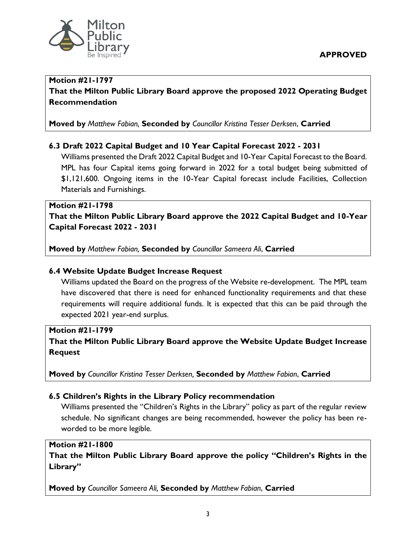

#### **Motion #21-1797 That the Milton Public Library Board approve the proposed 2022 Operating Budget Recommendation**

**Moved by** *Matthew Fabian,* **Seconded by** *Councillor Kristina Tesser Derksen*, **Carried**

### **6.3 Draft 2022 Capital Budget and 10 Year Capital Forecast 2022 - 2031**

Williams presented the Draft 2022 Capital Budget and 10-Year Capital Forecast to the Board. MPL has four Capital items going forward in 2022 for a total budget being submitted of \$1,121,600. Ongoing items in the 10-Year Capital forecast include Facilities, Collection Materials and Furnishings.

## **Motion #21-1798 That the Milton Public Library Board approve the 2022 Capital Budget and 10-Year Capital Forecast 2022 - 2031**

**Moved by** *Matthew Fabian,* **Seconded by** *Councillor Sameera Ali*, **Carried**

#### **6.4 Website Update Budget Increase Request**

Williams updated the Board on the progress of the Website re-development. The MPL team have discovered that there is need for enhanced functionality requirements and that these requirements will require additional funds. It is expected that this can be paid through the expected 2021 year-end surplus.

### **Motion #21-1799**

**That the Milton Public Library Board approve the Website Update Budget Increase Request**

**Moved by** *Councillor Kristina Tesser Derksen,* **Seconded by** *Matthew Fabian*, **Carried**

# **6.5 Children's Rights in the Library Policy recommendation**

Williams presented the "Children's Rights in the Library" policy as part of the regular review schedule. No significant changes are being recommended, however the policy has been reworded to be more legible.

#### **Motion #21-1800**

**That the Milton Public Library Board approve the policy "Children's Rights in the Library"**

**Moved by** *Councillor Sameera Ali,* **Seconded by** *Matthew Fabian*, **Carried**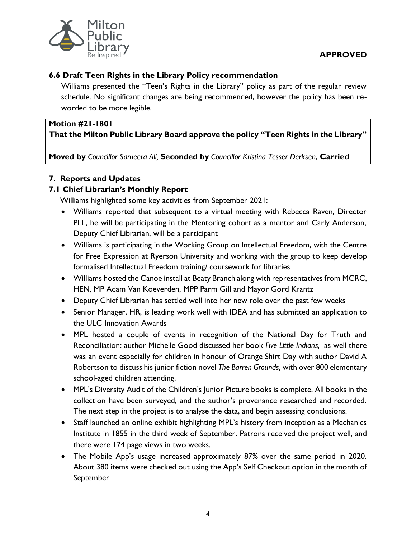

#### **APPROVED**

### **6.6 Draft Teen Rights in the Library Policy recommendation**

Williams presented the "Teen's Rights in the Library" policy as part of the regular review schedule. No significant changes are being recommended, however the policy has been reworded to be more legible.

#### **Motion #21-1801**

**That the Milton Public Library Board approve the policy "Teen Rights in the Library"**

**Moved by** *Councillor Sameera Ali,* **Seconded by** *Councillor Kristina Tesser Derksen*, **Carried**

# **7. Reports and Updates**

### **7.1 Chief Librarian's Monthly Report**

Williams highlighted some key activities from September 2021:

- Williams reported that subsequent to a virtual meeting with Rebecca Raven, Director PLL, he will be participating in the Mentoring cohort as a mentor and Carly Anderson, Deputy Chief Librarian, will be a participant
- Williams is participating in the Working Group on Intellectual Freedom, with the Centre for Free Expression at Ryerson University and working with the group to keep develop formalised Intellectual Freedom training/ coursework for libraries
- Williams hosted the Canoe install at Beaty Branch along with representatives from MCRC, HEN, MP Adam Van Koeverden, MPP Parm Gill and Mayor Gord Krantz
- Deputy Chief Librarian has settled well into her new role over the past few weeks
- Senior Manager, HR, is leading work well with IDEA and has submitted an application to the ULC Innovation Awards
- MPL hosted a couple of events in recognition of the National Day for Truth and Reconciliation: author Michelle Good discussed her book *Five Little Indians,* as well there was an event especially for children in honour of Orange Shirt Day with author David A Robertson to discuss his junior fiction novel *The Barren Grounds*, with over 800 elementary school-aged children attending.
- MPL's Diversity Audit of the Children's Junior Picture books is complete. All books in the collection have been surveyed, and the author's provenance researched and recorded. The next step in the project is to analyse the data, and begin assessing conclusions.
- Staff launched an online exhibit highlighting MPL's history from inception as a Mechanics Institute in 1855 in the third week of September. Patrons received the project well, and there were 174 page views in two weeks.
- The Mobile App's usage increased approximately 87% over the same period in 2020. About 380 items were checked out using the App's Self Checkout option in the month of September.